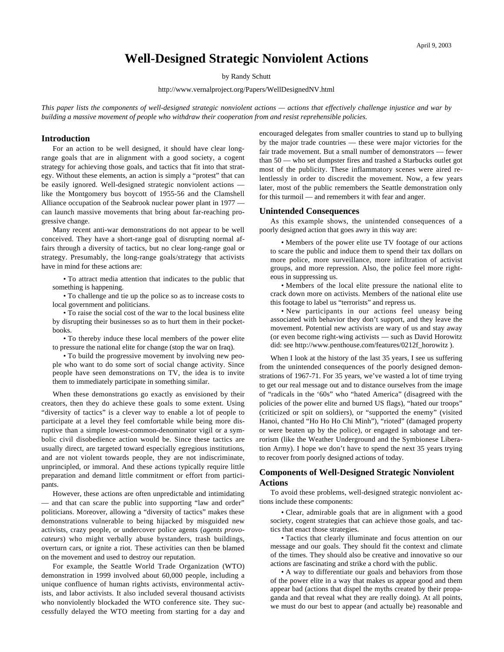# **Well-Designed Strategic Nonviolent Actions**

by Randy Schutt

<http://www.vernalproject.org/Papers/WellDesignedNV.html>

*This paper lists the components of well-designed strategic nonviolent actions — actions that effectively challenge injustice and war by building a massive movement of people who withdraw their cooperation from and resist reprehensible policies.*

#### **Introduction**

For an action to be well designed, it should have clear longrange goals that are in alignment with a good society, a cogent strategy for achieving those goals, and tactics that fit into that strategy. Without these elements, an action is simply a "protest" that can be easily ignored. Well-designed strategic nonviolent actions like the Montgomery bus boycott of 1955-56 and the Clamshell Alliance occupation of the Seabrook nuclear power plant in 1977 can launch massive movements that bring about far-reaching progressive change.

Many recent anti-war demonstrations do not appear to be well conceived. They have a short-range goal of disrupting normal affairs through a diversity of tactics, but no clear long-range goal or strategy. Presumably, the long-range goals/strategy that activists have in mind for these actions are:

• To attract media attention that indicates to the public that something is happening.

• To challenge and tie up the police so as to increase costs to local government and politicians.

• To raise the social cost of the war to the local business elite by disrupting their businesses so as to hurt them in their pocketbooks.

• To thereby induce these local members of the power elite to pressure the national elite for change (stop the war on Iraq).

• To build the progressive movement by involving new people who want to do some sort of social change activity. Since people have seen demonstrations on TV, the idea is to invite them to immediately participate in something similar.

When these demonstrations go exactly as envisioned by their creators, then they do achieve these goals to some extent. Using "diversity of tactics" is a clever way to enable a lot of people to participate at a level they feel comfortable while being more disruptive than a simple lowest-common-denominator vigil or a symbolic civil disobedience action would be. Since these tactics are usually direct, are targeted toward especially egregious institutions, and are not violent towards people, they are not indiscriminate, unprincipled, or immoral. And these actions typically require little preparation and demand little commitment or effort from participants.

However, these actions are often unpredictable and intimidating and that can scare the public into supporting "law and order" politicians. Moreover, allowing a "diversity of tactics" makes these demonstrations vulnerable to being hijacked by misguided new activists, crazy people, or undercover police agents (*agents provocateurs*) who might verbally abuse bystanders, trash buildings, overturn cars, or ignite a riot. These activities can then be blamed on the movement and used to destroy our reputation.

For example, the Seattle World Trade Organization (WTO) demonstration in 1999 involved about 60,000 people, including a unique confluence of human rights activists, environmental activists, and labor activists. It also included several thousand activists who nonviolently blockaded the WTO conference site. They successfully delayed the WTO meeting from starting for a day and encouraged delegates from smaller countries to stand up to bullying by the major trade countries — these were major victories for the fair trade movement. But a small number of demonstrators — fewer than 50 — who set dumpster fires and trashed a Starbucks outlet got most of the publicity. These inflammatory scenes were aired relentlessly in order to discredit the movement. Now, a few years later, most of the public remembers the Seattle demonstration only for this turmoil — and remembers it with fear and anger.

## **Unintended Consequences**

As this example shows, the unintended consequences of a poorly designed action that goes awry in this way are:

• Members of the power elite use TV footage of our actions to scare the public and induce them to spend their tax dollars on more police, more surveillance, more infiltration of activist groups, and more repression. Also, the police feel more righteous in suppressing us.

• Members of the local elite pressure the national elite to crack down more on activists. Members of the national elite use this footage to label us "terrorists" and repress us.

• New participants in our actions feel uneasy being associated with behavior they don't support, and they leave the movement. Potential new activists are wary of us and stay away (or even become right-wing activists — such as David Horowitz did: see [http://www.penthouse.com/features/0212f\\_horowitz](http://www.penthouse.com/features/0212f_horowitz) ).

When I look at the history of the last 35 years, I see us suffering from the unintended consequences of the poorly designed demonstrations of 1967-71. For 35 years, we've wasted a lot of time trying to get our real message out and to distance ourselves from the image of "radicals in the '60s" who "hated America" (disagreed with the policies of the power elite and burned US flags), "hated our troops" (criticized or spit on soldiers), or "supported the enemy" (visited Hanoi, chanted "Ho Ho Ho Chi Minh"), "rioted" (damaged property or were beaten up by the police), or engaged in sabotage and terrorism (like the Weather Underground and the Symbionese Liberation Army). I hope we don't have to spend the next 35 years trying to recover from poorly designed actions of today.

## **Components of Well-Designed Strategic Nonviolent Actions**

To avoid these problems, well-designed strategic nonviolent actions include these components:

• Clear, admirable goals that are in alignment with a good society, cogent strategies that can achieve those goals, and tactics that enact those strategies.

• Tactics that clearly illuminate and focus attention on our message and our goals. They should fit the context and climate of the times. They should also be creative and innovative so our actions are fascinating and strike a chord with the public.

• A way to differentiate our goals and behaviors from those of the power elite in a way that makes us appear good and them appear bad (actions that dispel the myths created by their propaganda and that reveal what they are really doing). At all points, we must do our best to appear (and actually be) reasonable and